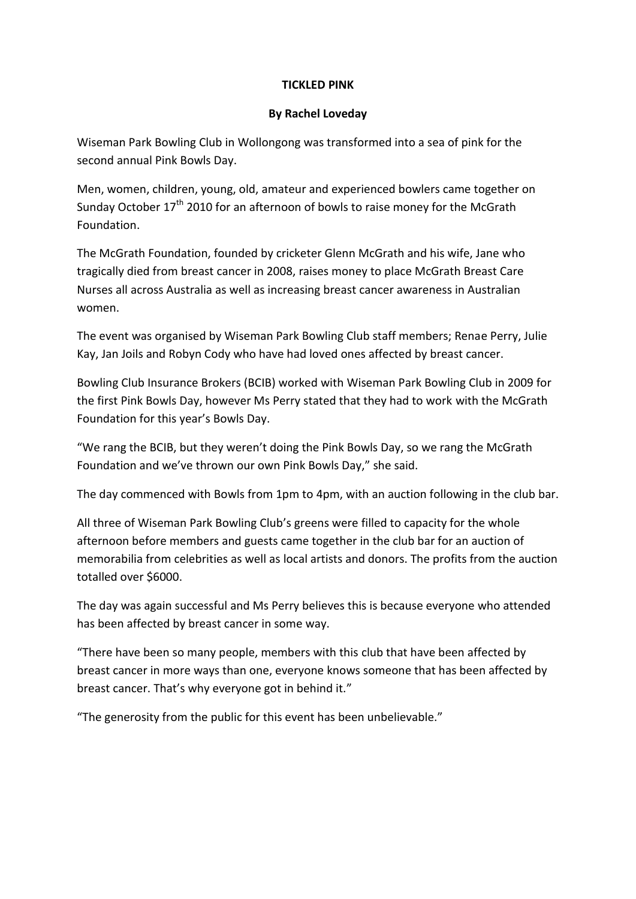## **TICKLED PINK**

### **By Rachel Loveday**

Wiseman Park Bowling Club in Wollongong was transformed into a sea of pink for the second annual Pink Bowls Day.

Men, women, children, young, old, amateur and experienced bowlers came together on Sunday October 17<sup>th</sup> 2010 for an afternoon of bowls to raise money for the McGrath Foundation.

The McGrath Foundation, founded by cricketer Glenn McGrath and his wife, Jane who tragically died from breast cancer in 2008, raises money to place McGrath Breast Care Nurses all across Australia as well as increasing breast cancer awareness in Australian women.

The event was organised by Wiseman Park Bowling Club staff members; Renae Perry, Julie Kay, Jan Joils and Robyn Cody who have had loved ones affected by breast cancer.

Bowling Club Insurance Brokers (BCIB) worked with Wiseman Park Bowling Club in 2009 for the first Pink Bowls Day, however Ms Perry stated that they had to work with the McGrath Foundation for this year's Bowls Day.

"We rang the BCIB, but they weren't doing the Pink Bowls Day, so we rang the McGrath Foundation and we've thrown our own Pink Bowls Day," she said.

The day commenced with Bowls from 1pm to 4pm, with an auction following in the club bar.

All three of Wiseman Park Bowling Club's greens were filled to capacity for the whole afternoon before members and guests came together in the club bar for an auction of memorabilia from celebrities as well as local artists and donors. The profits from the auction totalled over \$6000.

The day was again successful and Ms Perry believes this is because everyone who attended has been affected by breast cancer in some way.

"There have been so many people, members with this club that have been affected by breast cancer in more ways than one, everyone knows someone that has been affected by breast cancer. That's why everyone got in behind it."

"The generosity from the public for this event has been unbelievable."